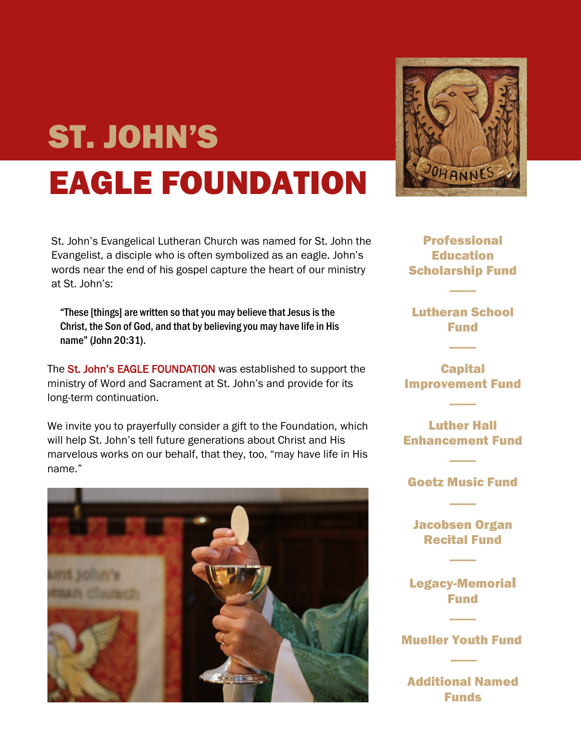# ST. JOHN'S

# EAGLE FOUNDATION

St. John's Evangelical Lutheran Church was named for St. John the Evangelist, a disciple who is often symbolized as an eagle. John's words near the end of his gospel capture the heart of our ministry at St. John's:

"These [things] are written so that you may believe that Jesus is the Christ, the Son of God, and that by believing you may have life in His name" (John 20:31).

The St. John's EAGLE FOUNDATION was established to support the ministry of Word and Sacrament at St. John's and provide for its long-term continuation.

We invite you to prayerfully consider a gift to the Foundation, which will help St. John's tell future generations about Christ and His marvelous works on our behalf, that they, too, "may have life in His name."





Professional **Education** Scholarship Fund

 $\overline{\phantom{a}}$ 

Lutheran School Fund

 $\overline{\phantom{a}}$ 

**Capital** Improvement Fund

 $\overline{\phantom{a}}$ 

Luther Hall Enhancement Fund

Goetz Music Fund  $\overline{\phantom{a}}$ 

 $\overline{\phantom{a}}$ 

Jacobsen Organ Recital Fund

 $\overline{\phantom{a}}$ 

Legacy-Memorial Fund

 $\overline{\phantom{a}}$ 

Mueller Youth Fund  $\overline{\phantom{a}}$ 

Additional Named **Funds**